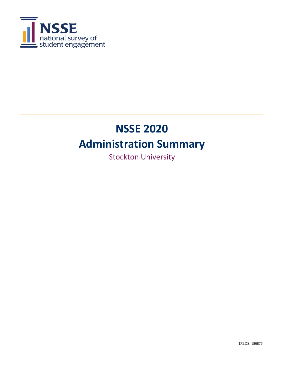

# **NSSE 2020 Administration Summary**

Stockton University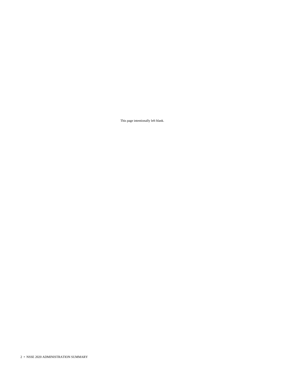This page intentionally left blank.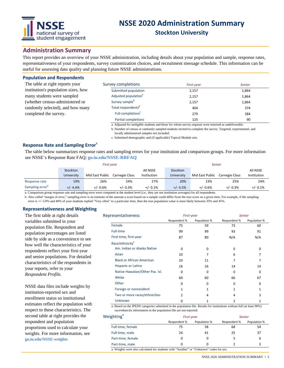

# **NSSE 2020 Administration Summary Stockton University**

# **Administration Summary**

This report provides an overview of your NSSE administration, including details about your population and sample, response rates, representativeness of your respondents, survey customization choices, and recruitment message schedule. This information can be useful for assessing data quality and planning future NSSE administrations.

### **Population and Respondents**

The table at right reports your institution's population sizes, how many students were sampled (whether census-administered or randomly selected), and how many completed the survey.

| Survey completions               | First-year | <b>Senior</b> |
|----------------------------------|------------|---------------|
| Submitted population             | 2,157      | 1,864         |
| Adjusted population <sup>a</sup> | 2,157      | 1,864         |
| Survey sample <sup>b</sup>       | 2,157      | 1,864         |
| Total respondents <sup>b</sup>   | 404        | 374           |
| Full completions <sup>c</sup>    | 279        | 284           |
| Partial completions              | 125        | 90            |

a. Adjusted for ineligible students and those for whom survey requests were returned as undeliverable.

b. Number of census or randomly sampled students invited to complete the survey. Targeted, experimental, and locally administered samples not included.

c. Submitted demographic and (if applicable) Topical Module sets.

# **Response Rate and Sampling Error**<sup>a</sup>

The table below summarizes response rates and sampling errors for your institution and comparison groups. For more information see NSSE's Response Rate FAQ: **go.iu.edu/NSSE-RRFAQ** 

|                | First-year |                 |                |             | <b>Senior</b> |                 |                |             |
|----------------|------------|-----------------|----------------|-------------|---------------|-----------------|----------------|-------------|
|                | Stockton   |                 |                | All NSSE    | Stockton      |                 |                | All NSSE    |
|                | University | Mid East Public | Carnegie Class | Institution | University    | Mid East Public | Carnegie Class | Institution |
| Response rate  | 19%        | 26%             | 24%            | 27%         | 20%           | 23%             | 25%            | 24%         |
| Sampling error | $+/- 4.4%$ | $+/- 0.6%$      | $+/- 0.3%$     | $+/- 0.1%$  | $+/- 4.5%$    | $+/- 0.6%$      | $+/- 0.3%$     | $+/- 0.1%$  |

a. Comparison group response rate and sampling error were computed at the student level (i.e., they are not institution averages) for all respondents.

b. Also called "margin of error," sampling error is an estimate of the amount a score based on a sample could differ from the true score on a given item. For example, if the sampling error is  $+/-$  5.0% and 40% of your students replied "Very often" to a particular item, then the true population value is most likely between 35% and 45%.

# **Representativeness and Weighting**

The first table at right details variables submitted in your population file. Respondent and population percentages are listed side by side as a convenience to see how well the characteristics of your respondents reflect your first-year and senior populations. For detailed characteristics of the respondents in your reports, refer to your *Respondent Profile.*

NSSE data files include weights by institution-reported sex and enrollment status so institutional estimates reflect the population with respect to these characteristics. The second table at right provides the respondent and population proportions used to calculate your weights. For more information, see **go.iu.edu/NSSE-weights** 

| <b>Representativeness</b>        | First-year   |              | <b>Senior</b> |              |  |
|----------------------------------|--------------|--------------|---------------|--------------|--|
|                                  | Respondent % | Population % | Respondent %  | Population % |  |
| Female                           | 75           | 59           | 73            | 60           |  |
| <b>Full-time</b>                 | 99           | 99           | 93            | 91           |  |
| First-time, first-year           | 87           | 80           | N/A           | N/A          |  |
| Race/ethnicity <sup>ª</sup>      |              |              |               |              |  |
| Am. Indian or Alaska Native      | $\Omega$     | 0            | 0             | $\Omega$     |  |
| Asian                            | 10           | 7            | 6             | 7            |  |
| <b>Black or African American</b> | 10           | 11           |               | 7            |  |
| Hispanic or Latino               | 16           | 16           | 14            | 14           |  |
| Native Hawaiian/Other Pac. Isl.  | $\Omega$     | <sup>0</sup> | O             | $\Omega$     |  |
| White                            | 60           | 60           | 66            | 67           |  |
| Other                            | 0            | 0            | 0             | $\Omega$     |  |
| Foreign or nonresident           | 1            |              |               | 1            |  |
| Two or more races/ethnicities    | 2            | 4            | 4             | 3            |  |
| Unknown                          | 0            |              | 2             |              |  |

a. Based on the IPEDS categories submitted in the population file. Results for institutions without full (at least 90%) race/ethnicity information in the population file are not reported.

| Weighting <sup>a</sup> | First-year   |              | Senior       |              |
|------------------------|--------------|--------------|--------------|--------------|
|                        | Respondent % | Population % | Respondent % | Population % |
| Full-time, female      | 75           | 58           | 68           | 54           |
| Full-time, male        | 24           | 41           | 25           | 37           |
| Part-time, female      |              |              |              | 6            |
| Part-time, male        | 0            | 0            |              | 3            |

a. Weights were also calculated for students with "Another" or "Unknown" codes for sex.